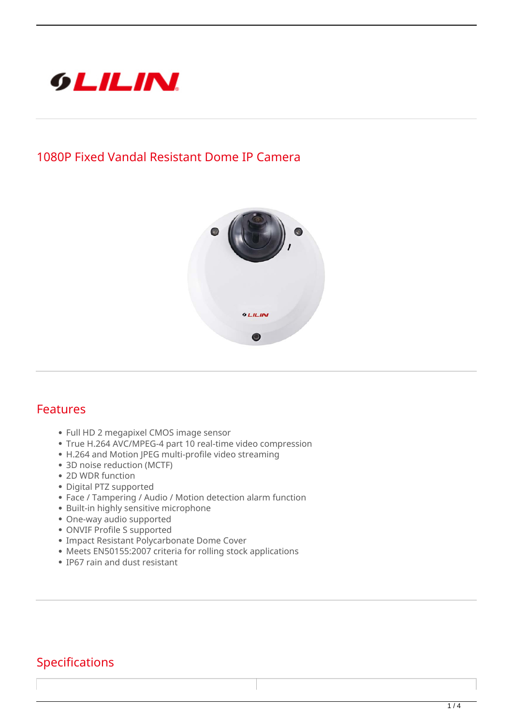

## **1080P Fixed Vandal Resistant Dome IP Camera**



## **Features**

- Full HD 2 megapixel CMOS image sensor
- True H.264 AVC/MPEG-4 part 10 real-time video compression
- H.264 and Motion JPEG multi-profile video streaming
- 3D noise reduction (MCTF)
- 2D WDR function
- Digital PTZ supported
- Face / Tampering / Audio / Motion detection alarm function
- Built-in highly sensitive microphone
- One-way audio supported
- ONVIF Profile S supported
- Impact Resistant Polycarbonate Dome Cover
- Meets EN50155:2007 criteria for rolling stock applications
- IP67 rain and dust resistant

## **Specifications**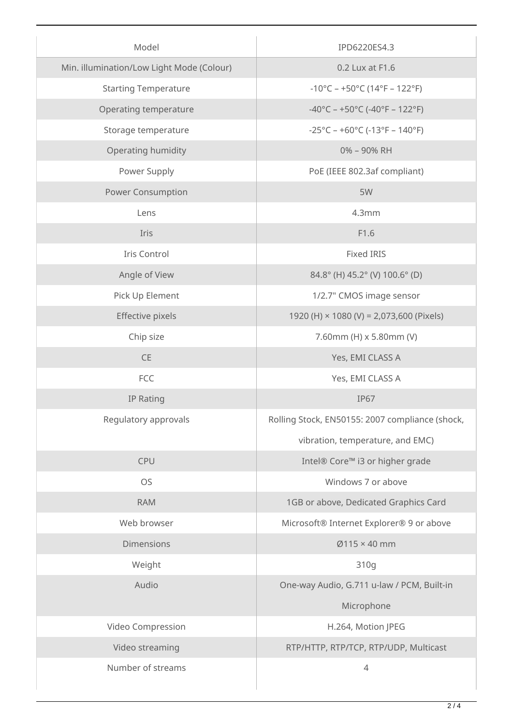| Model                                     | IPD6220ES4.3                                                             |
|-------------------------------------------|--------------------------------------------------------------------------|
| Min. illumination/Low Light Mode (Colour) | 0.2 Lux at F1.6                                                          |
| <b>Starting Temperature</b>               | $-10^{\circ}$ C – +50°C (14°F – 122°F)                                   |
| Operating temperature                     | $-40^{\circ}$ C – +50°C (-40°F – 122°F)                                  |
| Storage temperature                       | $-25^{\circ}$ C – +60 $^{\circ}$ C (-13 $^{\circ}$ F – 140 $^{\circ}$ F) |
| Operating humidity                        | 0% - 90% RH                                                              |
| Power Supply                              | PoE (IEEE 802.3af compliant)                                             |
| Power Consumption                         | 5W                                                                       |
| Lens                                      | 4.3mm                                                                    |
| Iris                                      | F1.6                                                                     |
| Iris Control                              | <b>Fixed IRIS</b>                                                        |
| Angle of View                             | 84.8° (H) 45.2° (V) 100.6° (D)                                           |
| Pick Up Element                           | 1/2.7" CMOS image sensor                                                 |
| Effective pixels                          | 1920 (H) × 1080 (V) = 2,073,600 (Pixels)                                 |
| Chip size                                 | 7.60mm (H) x 5.80mm (V)                                                  |
| CE                                        | Yes, EMI CLASS A                                                         |
| FCC                                       | Yes, EMI CLASS A                                                         |
| IP Rating                                 | <b>IP67</b>                                                              |
| Regulatory approvals                      | Rolling Stock, EN50155: 2007 compliance (shock,                          |
|                                           | vibration, temperature, and EMC)                                         |
| <b>CPU</b>                                | Intel® Core™ i3 or higher grade                                          |
| <b>OS</b>                                 | Windows 7 or above                                                       |
| <b>RAM</b>                                | 1GB or above, Dedicated Graphics Card                                    |
| Web browser                               | Microsoft® Internet Explorer® 9 or above                                 |
| <b>Dimensions</b>                         | $Ø115 \times 40$ mm                                                      |
| Weight                                    | 310g                                                                     |
| Audio                                     | One-way Audio, G.711 u-law / PCM, Built-in                               |
|                                           | Microphone                                                               |
| Video Compression                         | H.264, Motion JPEG                                                       |
| Video streaming                           | RTP/HTTP, RTP/TCP, RTP/UDP, Multicast                                    |
| Number of streams                         | $\overline{4}$                                                           |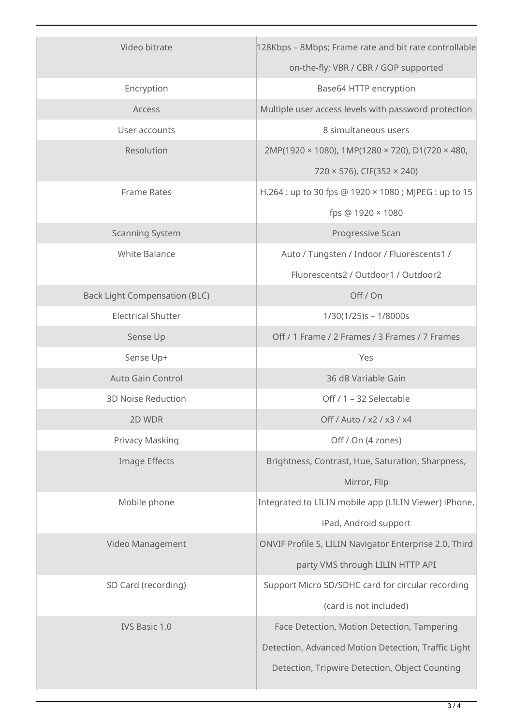| Video bitrate                        | 128Kbps - 8Mbps; Frame rate and bit rate controllable    |
|--------------------------------------|----------------------------------------------------------|
|                                      | on-the-fly; VBR / CBR / GOP supported                    |
| Encryption                           | Base64 HTTP encryption                                   |
| Access                               | Multiple user access levels with password protection     |
| User accounts                        | 8 simultaneous users                                     |
| Resolution                           | $2MP(1920 \times 1080)$ , 1MP(1280 × 720), D1(720 × 480, |
|                                      | $720 \times 576$ , CIF(352 $\times$ 240)                 |
| <b>Frame Rates</b>                   | H.264 : up to 30 fps @ 1920 × 1080 ; MJPEG : up to 15    |
|                                      | fps @ 1920 × 1080                                        |
| <b>Scanning System</b>               | Progressive Scan                                         |
| <b>White Balance</b>                 | Auto / Tungsten / Indoor / Fluorescents1 /               |
|                                      | Fluorescents2 / Outdoor1 / Outdoor2                      |
| <b>Back Light Compensation (BLC)</b> | Off / On                                                 |
| <b>Electrical Shutter</b>            | $1/30(1/25)s - 1/8000s$                                  |
| Sense Up                             | Off / 1 Frame / 2 Frames / 3 Frames / 7 Frames           |
| Sense Up+                            | Yes                                                      |
| <b>Auto Gain Control</b>             | 36 dB Variable Gain                                      |
| <b>3D Noise Reduction</b>            | Off / 1 - 32 Selectable                                  |
| 2D WDR                               | Off / Auto / x2 / x3 / x4                                |
| Privacy Masking                      | Off / On (4 zones)                                       |
| Image Effects                        | Brightness, Contrast, Hue, Saturation, Sharpness,        |
|                                      | Mirror, Flip                                             |
| Mobile phone                         | Integrated to LILIN mobile app (LILIN Viewer) iPhone,    |
|                                      | iPad, Android support                                    |
| Video Management                     | ONVIF Profile S, LILIN Navigator Enterprise 2.0, Third   |
|                                      | party VMS through LILIN HTTP API                         |
| SD Card (recording)                  | Support Micro SD/SDHC card for circular recording        |
|                                      | (card is not included)                                   |
| IVS Basic 1.0                        | Face Detection, Motion Detection, Tampering              |
|                                      | Detection, Advanced Motion Detection, Traffic Light      |
|                                      | Detection, Tripwire Detection, Object Counting           |
|                                      |                                                          |